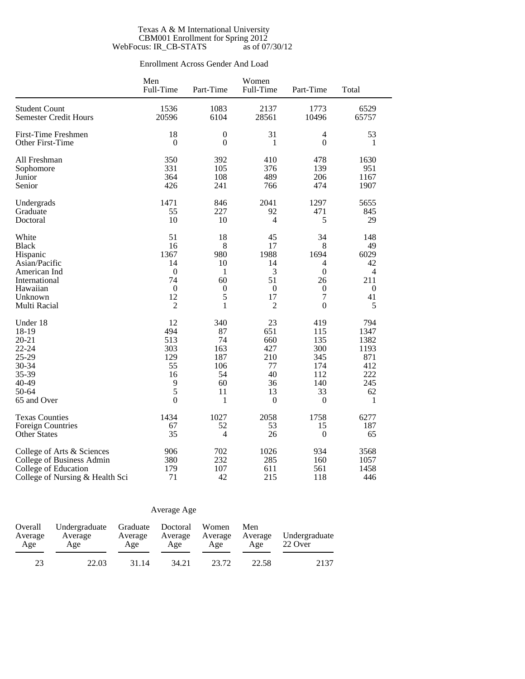#### Texas A & M International University CBM001 Enrollment for Spring 2012 WebFocus: IR\_CB-STATS as of 07/30/12

### Enrollment Across Gender And Load

|                                 | Men<br>Full-Time | Part-Time        | Women<br>Full-Time | Part-Time        | Total            |
|---------------------------------|------------------|------------------|--------------------|------------------|------------------|
| <b>Student Count</b>            | 1536             | 1083             | 2137               | 1773             | 6529             |
| <b>Semester Credit Hours</b>    | 20596            | 6104             | 28561              | 10496            | 65757            |
| <b>First-Time Freshmen</b>      | 18               | $\boldsymbol{0}$ | 31                 | 4                | 53               |
| Other First-Time                | $\mathbf{0}$     | $\mathbf{0}$     | 1                  | $\overline{0}$   | 1                |
| All Freshman                    | 350              | 392              | 410                | 478              | 1630             |
| Sophomore                       | 331              | 105              | 376                | 139              | 951              |
| Junior                          | 364              | 108              | 489                | 206              | 1167             |
| Senior                          | 426              | 241              | 766                | 474              | 1907             |
| Undergrads                      | 1471             | 846              | 2041               | 1297             | 5655             |
| Graduate                        | 55               | 227              | 92                 | 471              | 845              |
| Doctoral                        | 10               | 10               | $\overline{4}$     | 5                | 29               |
| White                           | 51               | 18               | 45                 | 34               | 148              |
| <b>Black</b>                    | 16               | 8                | 17                 | 8                | 49               |
| Hispanic                        | 1367             | 980              | 1988               | 1694             | 6029             |
| Asian/Pacific                   | 14               | 10               | 14                 | 4                | 42               |
| American Ind                    | $\mathbf{0}$     | 1                | 3                  | $\boldsymbol{0}$ | 4                |
| International                   | 74               | 60               | 51                 | 26               | 211              |
| Hawaiian                        | $\boldsymbol{0}$ | $\boldsymbol{0}$ | $\boldsymbol{0}$   | $\boldsymbol{0}$ | $\boldsymbol{0}$ |
| Unknown                         | 12               | 5                | 17                 | $\overline{7}$   | 41               |
| Multi Racial                    | $\overline{2}$   | $\mathbf{1}$     | $\overline{2}$     | $\overline{0}$   | 5                |
| Under 18                        | 12               | 340              | 23                 | 419              | 794              |
| 18-19                           | 494              | 87               | 651                | 115              | 1347             |
| $20 - 21$                       | 513              | 74               | 660                | 135              | 1382             |
| $22 - 24$                       | 303              | 163              | 427                | 300              | 1193             |
| 25-29                           | 129              | 187              | 210                | 345              | 871              |
| 30-34                           | 55               | 106              | 77                 | 174              | 412              |
| 35-39                           | 16               | 54               | 40                 | 112              | 222              |
| 40-49                           | 9                | 60               | 36                 | 140              | 245              |
| 50-64                           | 5                | 11               | 13                 | 33               | 62               |
| 65 and Over                     | $\mathbf{0}$     | 1                | $\mathbf{0}$       | $\boldsymbol{0}$ | 1                |
| <b>Texas Counties</b>           | 1434             | 1027             | 2058               | 1758             | 6277             |
| <b>Foreign Countries</b>        | 67               | 52               | 53                 | 15               | 187              |
| <b>Other States</b>             | 35               | $\overline{4}$   | 26                 | $\boldsymbol{0}$ | 65               |
| College of Arts & Sciences      | 906              | 702              | 1026               | 934              | 3568             |
| College of Business Admin       | 380              | 232              | 285                | 160              | 1057             |
| College of Education            | 179              | 107              | 611                | 561              | 1458             |
| College of Nursing & Health Sci | 71               | 42               | 215                | 118              | 446              |

### Average Age

| Overall<br>Average<br>Age | Undergraduate Graduate Doctoral<br>Average<br>Age | Average<br>Age | Average<br>Age | Women<br>Average<br>Age | Men<br>Average<br>Age | Undergraduate<br>22 Over |  |
|---------------------------|---------------------------------------------------|----------------|----------------|-------------------------|-----------------------|--------------------------|--|
| 23                        | 22.03                                             | 31.14          | 34.21          | 23.72                   | 22.58                 | 2137                     |  |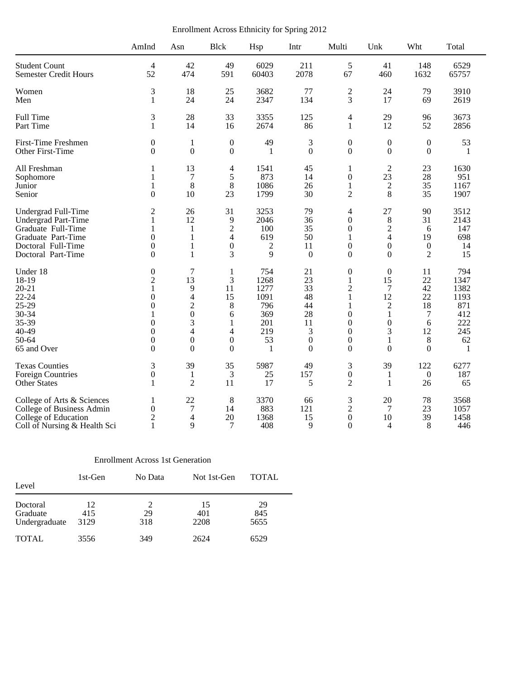Enrollment Across Ethnicity for Spring 2012

|                              | AmInd            | Asn              | <b>Blck</b>      | Hsp          | Intr             | Multi            | Unk                     | Wht              | Total |  |
|------------------------------|------------------|------------------|------------------|--------------|------------------|------------------|-------------------------|------------------|-------|--|
| <b>Student Count</b>         | 4                | 42               | 49               | 6029         | 211              | 5                | 41                      | 148              | 6529  |  |
| <b>Semester Credit Hours</b> | 52               | 474              | 591              | 60403        | 2078             | 67               | 460                     | 1632             | 65757 |  |
| Women                        | 3                | 18               | 25               | 3682         | 77               | $\mathfrak 2$    | 24                      | 79               | 3910  |  |
| Men                          | 1                | 24               | 24               | 2347         | 134              | 3                | 17                      | 69               | 2619  |  |
| Full Time                    | 3                | 28               | 33               | 3355         | 125              | $\overline{4}$   | 29                      | 96               | 3673  |  |
| Part Time                    | 1                | 14               | 16               | 2674         | 86               | $\mathbf{1}$     | 12                      | 52               | 2856  |  |
| First-Time Freshmen          | 0                | $\mathbf{1}$     | $\boldsymbol{0}$ | 49           | 3                | $\boldsymbol{0}$ | $\boldsymbol{0}$        | $\boldsymbol{0}$ | 53    |  |
| Other First-Time             | $\theta$         | $\mathbf{0}$     | $\boldsymbol{0}$ | -1           | $\overline{0}$   | $\boldsymbol{0}$ | $\overline{0}$          | $\Omega$         | 1     |  |
| All Freshman                 | 1                | 13               | 4                | 1541         | 45               | 1                | $\overline{2}$          | 23               | 1630  |  |
| Sophomore                    | 1                | $\tau$           | 5                | 873          | 14               | $\boldsymbol{0}$ | 23                      | 28               | 951   |  |
| Junior                       | 1                | 8                | 8                | 1086         | 26               | 1                | $\boldsymbol{2}$        | 35               | 1167  |  |
| Senior                       | $\overline{0}$   | 10               | 23               | 1799         | 30               | $\mathfrak{2}$   | 8                       | 35               | 1907  |  |
| Undergrad Full-Time          | $\overline{c}$   | 26               | 31               | 3253         | 79               | 4                | 27                      | 90               | 3512  |  |
| <b>Undergrad Part-Time</b>   | 1                | 12               | 9                | 2046         | 36               | $\boldsymbol{0}$ | 8                       | 31               | 2143  |  |
| Graduate Full-Time           | 1                | 1                | $\overline{2}$   | 100          | 35               | $\mathbf{0}$     | $\sqrt{2}$              | 6                | 147   |  |
| Graduate Part-Time           | $\boldsymbol{0}$ | $\mathbf{1}$     | 4                | 619          | 50               | $\mathbf{1}$     | $\overline{\mathbf{4}}$ | 19               | 698   |  |
| Doctoral Full-Time           | $\overline{0}$   | 1                | $\mathbf{0}$     | 2            | 11               | $\mathbf{0}$     | $\boldsymbol{0}$        | $\boldsymbol{0}$ | 14    |  |
| Doctoral Part-Time           | $\theta$         | 1                | 3                | 9            | $\overline{0}$   | $\mathbf{0}$     | $\Omega$                | 2                | 15    |  |
| Under 18                     | $\boldsymbol{0}$ | $\overline{7}$   | 1                | 754          | 21               | $\boldsymbol{0}$ | $\mathbf{0}$            | 11               | 794   |  |
| 18-19                        | $\overline{2}$   | 13               | 3                | 1268         | 23               | $\mathbf{1}$     | 15                      | 22               | 1347  |  |
| $20 - 21$                    | 1                | 9                | 11               | 1277         | 33               | $\mathfrak{2}$   | $\tau$                  | 42               | 1382  |  |
| $22 - 24$                    | $\theta$         | 4                | 15               | 1091         | 48               | 1                | 12                      | 22               | 1193  |  |
| 25-29                        | $\overline{0}$   | $\overline{c}$   | 8                | 796          | 44               | $\mathbf{1}$     | $\boldsymbol{2}$        | 18               | 871   |  |
| 30-34                        | 1                | $\overline{0}$   | 6                | 369          | 28               | $\Omega$         | 1                       | 7                | 412   |  |
| 35-39                        | $\overline{0}$   | 3                | 1                | 201          | 11               | $\mathbf{0}$     | $\mathbf{0}$            | 6                | 222   |  |
| 40-49                        | $\boldsymbol{0}$ | 4                | 4                | 219          | 3                | $\mathbf{0}$     | $\mathfrak{Z}$          | 12               | 245   |  |
| 50-64                        | $\mathbf{0}$     | $\boldsymbol{0}$ | $\boldsymbol{0}$ | 53           | $\boldsymbol{0}$ | $\boldsymbol{0}$ | 1                       | 8                | 62    |  |
| 65 and Over                  | $\theta$         | $\boldsymbol{0}$ | $\Omega$         | $\mathbf{1}$ | $\Omega$         | $\boldsymbol{0}$ | $\theta$                | $\Omega$         | 1     |  |
| <b>Texas Counties</b>        | 3                | 39               | 35               | 5987         | 49               | 3                | 39                      | 122              | 6277  |  |
| <b>Foreign Countries</b>     | $\boldsymbol{0}$ | $\mathbf{1}$     | $\mathfrak{Z}$   | 25           | 157              | $\boldsymbol{0}$ | $\mathbf{1}$            | $\boldsymbol{0}$ | 187   |  |
| <b>Other States</b>          | 1                | $\mathfrak{2}$   | 11               | 17           | 5                | $\overline{2}$   | $\mathbf{1}$            | 26               | 65    |  |
| College of Arts & Sciences   | 1                | 22               | 8                | 3370         | 66               | $\mathfrak{Z}$   | 20                      | 78               | 3568  |  |
| College of Business Admin    | 0                | $\tau$           | 14               | 883          | 121              | $\overline{c}$   | 7                       | 23               | 1057  |  |
| College of Education         | $\overline{c}$   | 4                | 20               | 1368         | 15               | $\boldsymbol{0}$ | 10                      | 39               | 1458  |  |
| Coll of Nursing & Health Sci | 1                | 9                | 7                | 408          | 9                | $\mathbf{0}$     | $\overline{4}$          | 8                | 446   |  |

### Enrollment Across 1st Generation

| Level                                 | 1st-Gen           | No Data   | Not 1st-Gen       | <b>TOTAL</b>      |  |
|---------------------------------------|-------------------|-----------|-------------------|-------------------|--|
| Doctoral<br>Graduate<br>Undergraduate | 12<br>415<br>3129 | 29<br>318 | 15<br>401<br>2208 | 29<br>845<br>5655 |  |
| <b>TOTAL</b>                          | 3556              | 349       | 2624              | 6529              |  |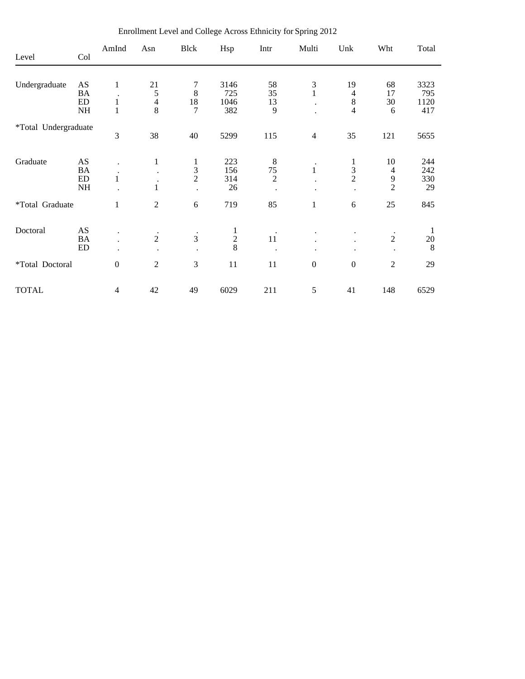| Level                | Col       | AmInd                             | Asn                       | <b>Blck</b>                 | Hsp           | Intr                 | Multi                     | Unk           | Wht                         | Total |
|----------------------|-----------|-----------------------------------|---------------------------|-----------------------------|---------------|----------------------|---------------------------|---------------|-----------------------------|-------|
|                      |           |                                   |                           |                             |               |                      |                           |               |                             |       |
| Undergraduate        | AS        | 1                                 | 21                        | 7                           | 3146          | 58                   |                           | 19            | 68                          | 3323  |
|                      | BA        |                                   | 5                         | 8                           | 725           | 35                   | $\frac{3}{1}$             | 4             | 17                          | 795   |
|                      | ED        | $\mathbf{1}$                      | $\overline{4}$            | 18                          | 1046          | 13                   | $\bullet$                 | $\,8\,$       | 30                          | 1120  |
|                      | NH        | 1                                 | 8                         | $\overline{7}$              | 382           | 9                    |                           | 4             | 6                           | 417   |
| *Total Undergraduate |           |                                   |                           |                             |               |                      |                           |               |                             |       |
|                      |           | 3                                 | 38                        | 40                          | 5299          | 115                  | $\overline{4}$            | 35            | 121                         | 5655  |
| Graduate             | AS        |                                   | $\mathbf{1}$              | 1                           | 223           | $\,8\,$              |                           | 1             | 10                          | 244   |
|                      | <b>BA</b> |                                   |                           |                             | 156           | $75\,$               | $\bullet$<br>$\mathbf{1}$ |               | $\overline{4}$              | 242   |
|                      | ED        | $\bullet$<br>1                    |                           | $\frac{3}{2}$               | 314           | $\overline{2}$       |                           | $\frac{3}{2}$ | 9                           | 330   |
|                      | NH        |                                   | $\mathbf{1}$              |                             | 26            | $\bullet$            |                           |               | $\overline{2}$              | 29    |
| *Total Graduate      |           | 1                                 | $\overline{2}$            | 6                           | 719           | 85                   | $\mathbf{1}$              | 6             | 25                          | 845   |
| Doctoral             | AS        |                                   |                           |                             |               |                      |                           |               |                             | 1     |
|                      | BA        | $\bullet$<br>$\ddot{\phantom{0}}$ | $\cdot$<br>$\overline{2}$ | $\bullet$<br>$\overline{3}$ |               | $\bullet$<br>$11\,$  |                           |               | $\bullet$<br>$\overline{2}$ | 20    |
|                      | ED        | $\bullet$                         |                           |                             | $\frac{1}{2}$ | $\ddot{\phantom{0}}$ | ٠                         | $\bullet$     |                             | 8     |
| *Total Doctoral      |           | $\boldsymbol{0}$                  | $\overline{2}$            | 3                           | 11            | 11                   | $\boldsymbol{0}$          | $\mathbf{0}$  | $\overline{2}$              | 29    |
| <b>TOTAL</b>         |           | $\overline{4}$                    | 42                        | 49                          | 6029          | 211                  | 5                         | 41            | 148                         | 6529  |

Enrollment Level and College Across Ethnicity for Spring 2012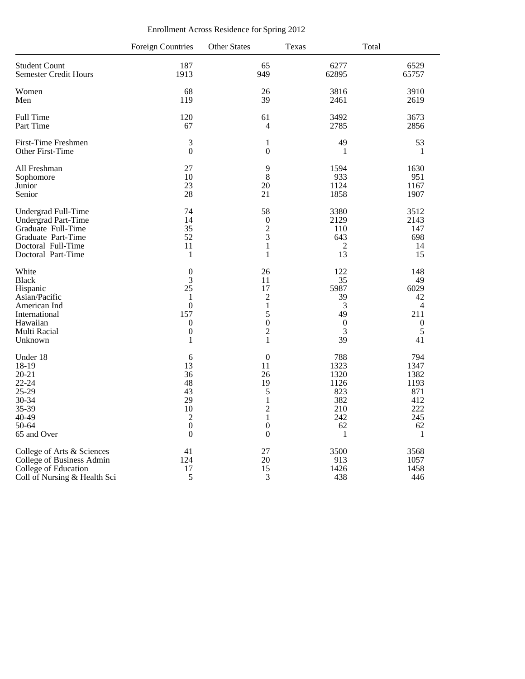|                              | <b>Foreign Countries</b> | <b>Other States</b> | Texas            | Total            |
|------------------------------|--------------------------|---------------------|------------------|------------------|
| <b>Student Count</b>         | 187                      | 65                  | 6277             | 6529             |
| <b>Semester Credit Hours</b> | 1913                     | 949                 | 62895            | 65757            |
| Women                        | 68                       | 26                  | 3816             | 3910             |
| Men                          | 119                      | 39                  | 2461             | 2619             |
| Full Time                    | 120                      | 61                  | 3492             | 3673             |
| Part Time                    | 67                       | 4                   | 2785             | 2856             |
| First-Time Freshmen          | 3                        | $\mathbf{1}$        | 49               | 53               |
| Other First-Time             | $\boldsymbol{0}$         | $\boldsymbol{0}$    | $\mathbf{1}$     | $\mathbf{1}$     |
| All Freshman                 | 27                       | 9                   | 1594             | 1630             |
| Sophomore                    | 10                       | $\,8\,$             | 933              | 951              |
| Junior                       | 23                       | 20                  | 1124             | 1167             |
| Senior                       | 28                       | 21                  | 1858             | 1907             |
| Undergrad Full-Time          | 74                       | 58                  | 3380             | 3512             |
| Undergrad Part-Time          | 14                       | $\boldsymbol{0}$    | 2129             | 2143             |
| Graduate Full-Time           | 35                       | $\overline{c}$      | 110              | 147              |
| Graduate Part-Time           | 52                       | 3                   | 643              | 698              |
| Doctoral Full-Time           | 11                       | $\mathbf{1}$        | $\overline{2}$   | 14               |
| Doctoral Part-Time           | $\mathbf{1}$             | $\mathbf{1}$        | 13               | 15               |
| White                        | $\boldsymbol{0}$         | 26                  | 122              | 148              |
| <b>Black</b>                 | 3                        | 11                  | 35               | 49               |
| Hispanic                     | 25                       | 17                  | 5987             | 6029             |
| Asian/Pacific                | 1                        | $\overline{2}$      | 39               | 42               |
| American Ind                 | $\overline{0}$           | $\mathbf{1}$        | 3                | $\overline{4}$   |
| International                | 157                      | 5                   | 49               | 211              |
| Hawaiian                     | $\boldsymbol{0}$         | $\boldsymbol{0}$    | $\boldsymbol{0}$ | $\boldsymbol{0}$ |
| Multi Racial                 | $\boldsymbol{0}$         | $\overline{2}$      | 3                | 5                |
| Unknown                      | $\mathbf{1}$             | $\mathbf{1}$        | 39               | 41               |
| Under 18                     | 6                        | $\boldsymbol{0}$    | 788              | 794              |
| 18-19                        | 13                       | 11                  | 1323             | 1347             |
| $20 - 21$                    | 36                       | 26                  | 1320             | 1382             |
| $22 - 24$                    | 48                       | 19                  | 1126             | 1193             |
| 25-29                        | 43                       | 5                   | 823              | 871              |
| 30-34                        | 29                       | $\mathbf{1}$        | 382              | 412              |
| 35-39                        | 10                       | $\overline{c}$      | 210              | 222              |
| 40-49                        | $\sqrt{2}$               | $\mathbf{1}$        | 242              | 245              |
| 50-64                        | $\overline{0}$           | $\overline{0}$      | 62               | 62               |
| 65 and Over                  | $\boldsymbol{0}$         | $\boldsymbol{0}$    | 1                | $\mathbf{1}$     |
| College of Arts & Sciences   | 41                       | 27                  | 3500             | 3568             |
| College of Business Admin    | 124                      | 20                  | 913              | 1057             |
| College of Education         | 17                       | 15                  | 1426             | 1458             |
| Coll of Nursing & Health Sci | 5                        | 3                   | 438              | 446              |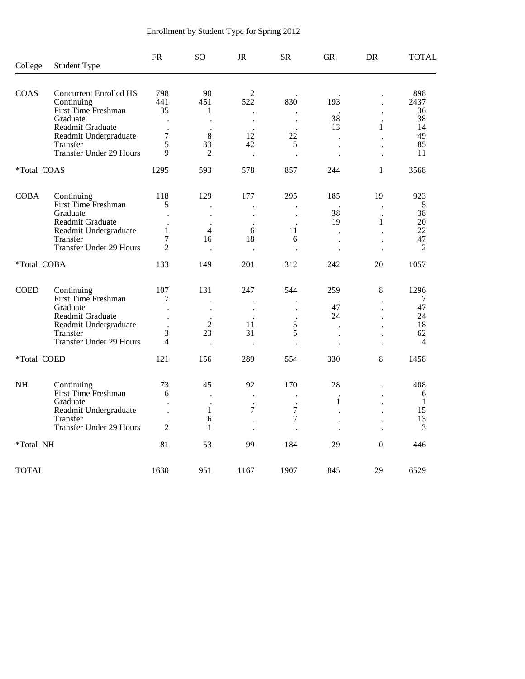| College            | <b>Student Type</b>                       | <b>FR</b>                        | <b>SO</b>                  | <b>JR</b>                | <b>SR</b>                 | <b>GR</b>                                    | <b>DR</b>                                    | <b>TOTAL</b>         |
|--------------------|-------------------------------------------|----------------------------------|----------------------------|--------------------------|---------------------------|----------------------------------------------|----------------------------------------------|----------------------|
| <b>COAS</b>        | <b>Concurrent Enrolled HS</b>             | 798                              | 98                         | 2                        |                           |                                              |                                              | 898                  |
|                    | Continuing                                | 441                              | 451                        | 522                      | 830                       | 193                                          |                                              | 2437                 |
|                    | <b>First Time Freshman</b>                | 35                               | 1                          | $\overline{\phantom{a}}$ |                           |                                              | $\ddot{\phantom{a}}$                         | 36                   |
|                    | Graduate                                  |                                  |                            | $\cdot$                  | $\bullet$                 | 38                                           |                                              | 38                   |
|                    | Readmit Graduate<br>Readmit Undergraduate | $\bullet$<br>$\overline{7}$      | $\ddot{\phantom{1}}$<br>8  | $\cdot$<br>12            | 22                        | 13                                           | 1                                            | 14<br>49             |
|                    | Transfer                                  | 5                                | 33                         | 42                       | 5                         | $\overline{a}$<br>$\overline{a}$             | $\ddot{\phantom{a}}$                         | 85                   |
|                    | <b>Transfer Under 29 Hours</b>            | 9                                | 2                          | $\ddot{\phantom{a}}$     | $\ddot{\phantom{a}}$      | $\ddot{\phantom{a}}$                         | $\ddot{\phantom{a}}$                         | 11                   |
| <i>*Total COAS</i> |                                           | 1295                             | 593                        | 578                      | 857                       | 244                                          | $\mathbf{1}$                                 | 3568                 |
| <b>COBA</b>        | Continuing                                | 118                              | 129                        | 177                      | 295                       | 185                                          | 19                                           | 923                  |
|                    | First Time Freshman                       | 5                                |                            |                          |                           |                                              | $\bullet$                                    | 5                    |
|                    | Graduate                                  | $\ddot{\phantom{a}}$             | $\ddot{\phantom{a}}$       | $\ddot{\phantom{a}}$     | $\ddot{\phantom{a}}$      | 38                                           | $\bullet$                                    | 38                   |
|                    | Readmit Graduate                          | $\ddot{\phantom{a}}$             |                            |                          |                           | 19                                           | 1                                            | 20                   |
|                    | Readmit Undergraduate                     | $\mathbf{1}$                     | 4                          | 6                        | 11                        | $\overline{a}$                               |                                              | 22                   |
|                    | Transfer<br>Transfer Under 29 Hours       | $\overline{7}$<br>$\overline{2}$ | 16<br>$\ddot{\phantom{a}}$ | 18                       | 6<br>$\ddot{\phantom{a}}$ | $\ddot{\phantom{0}}$<br>$\ddot{\phantom{a}}$ | $\ddot{\phantom{a}}$<br>$\ddot{\phantom{0}}$ | 47<br>$\overline{2}$ |
| *Total COBA        |                                           | 133                              | 149                        | 201                      | 312                       | 242                                          | 20                                           | 1057                 |
| <b>COED</b>        | Continuing                                | 107                              | 131                        | 247                      | 544                       | 259                                          | $8\,$                                        | 1296                 |
|                    | First Time Freshman                       | 7                                |                            |                          |                           |                                              | $\cdot$                                      | 7                    |
|                    | Graduate                                  |                                  |                            |                          |                           | 47                                           |                                              | 47                   |
|                    | Readmit Graduate                          |                                  |                            |                          |                           | 24                                           |                                              | 24                   |
|                    | Readmit Undergraduate<br>Transfer         | $\ddot{\phantom{a}}$<br>3        | $\sqrt{2}$<br>23           | 11<br>31                 | 5<br>5                    | $\ddot{\phantom{0}}$                         |                                              | 18<br>62             |
|                    | <b>Transfer Under 29 Hours</b>            | $\overline{\mathcal{L}}$         | $\cdot$                    |                          | $\ddot{\phantom{0}}$      |                                              |                                              | $\overline{4}$       |
| *Total COED        |                                           | 121                              | 156                        | 289                      | 554                       | 330                                          | 8                                            | 1458                 |
| $\rm NH$           | Continuing                                | 73                               | 45                         | 92                       | 170                       | 28                                           |                                              | 408                  |
|                    | First Time Freshman                       | 6                                |                            | $\cdot$                  |                           |                                              |                                              | 6                    |
|                    | Graduate                                  |                                  |                            |                          |                           | 1                                            |                                              | $\mathbf{1}$         |
|                    | Readmit Undergraduate                     |                                  | 1                          | 7                        | 7                         |                                              |                                              | 15                   |
|                    | Transfer                                  |                                  | 6                          |                          | $\overline{7}$            | $\ddot{\phantom{0}}$                         |                                              | 13                   |
|                    | <b>Transfer Under 29 Hours</b>            | $\overline{2}$                   | 1                          |                          | $\ddot{\phantom{a}}$      |                                              |                                              | 3                    |
| <i>*Total NH</i>   |                                           | 81                               | 53                         | 99                       | 184                       | 29                                           | $\theta$                                     | 446                  |
| <b>TOTAL</b>       |                                           | 1630                             | 951                        | 1167                     | 1907                      | 845                                          | 29                                           | 6529                 |

# Enrollment by Student Type for Spring 2012